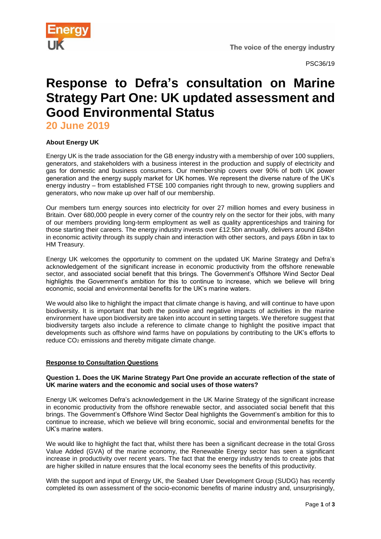

# **Response to Defra's consultation on Marine Strategy Part One: UK updated assessment and Good Environmental Status**

**20 June 2019**

## **About Energy UK**

Energy UK is the trade association for the GB energy industry with a membership of over 100 suppliers, generators, and stakeholders with a business interest in the production and supply of electricity and gas for domestic and business consumers. Our membership covers over 90% of both UK power generation and the energy supply market for UK homes. We represent the diverse nature of the UK's energy industry – from established FTSE 100 companies right through to new, growing suppliers and generators, who now make up over half of our membership.

Our members turn energy sources into electricity for over 27 million homes and every business in Britain. Over 680,000 people in every corner of the country rely on the sector for their jobs, with many of our members providing long-term employment as well as quality apprenticeships and training for those starting their careers. The energy industry invests over £12.5bn annually, delivers around £84bn in economic activity through its supply chain and interaction with other sectors, and pays £6bn in tax to HM Treasury.

Energy UK welcomes the opportunity to comment on the updated UK Marine Strategy and Defra's acknowledgement of the significant increase in economic productivity from the offshore renewable sector, and associated social benefit that this brings. The Government's Offshore Wind Sector Deal highlights the Government's ambition for this to continue to increase, which we believe will bring economic, social and environmental benefits for the UK's marine waters.

We would also like to highlight the impact that climate change is having, and will continue to have upon biodiversity. It is important that both the positive and negative impacts of activities in the marine environment have upon biodiversity are taken into account in setting targets. We therefore suggest that biodiversity targets also include a reference to climate change to highlight the positive impact that developments such as offshore wind farms have on populations by contributing to the UK's efforts to reduce CO<sup>2</sup> emissions and thereby mitigate climate change.

### **Response to Consultation Questions**

#### **Question 1. Does the UK Marine Strategy Part One provide an accurate reflection of the state of UK marine waters and the economic and social uses of those waters?**

Energy UK welcomes Defra's acknowledgement in the UK Marine Strategy of the significant increase in economic productivity from the offshore renewable sector, and associated social benefit that this brings. The Government's Offshore Wind Sector Deal highlights the Government's ambition for this to continue to increase, which we believe will bring economic, social and environmental benefits for the UK's marine waters.

We would like to highlight the fact that, whilst there has been a significant decrease in the total Gross Value Added (GVA) of the marine economy, the Renewable Energy sector has seen a significant increase in productivity over recent years. The fact that the energy industry tends to create jobs that are higher skilled in nature ensures that the local economy sees the benefits of this productivity.

With the support and input of Energy UK, the Seabed User Development Group (SUDG) has recently completed its own assessment of the socio-economic benefits of marine industry and, unsurprisingly,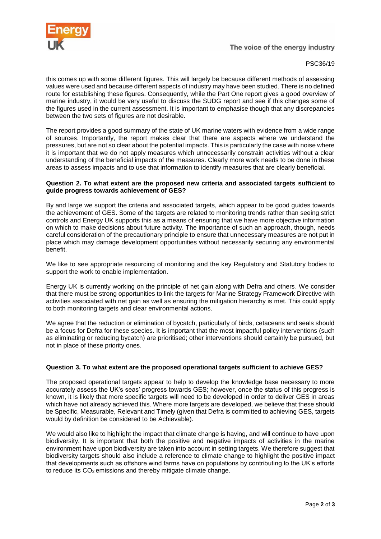

#### PSC36/19

this comes up with some different figures. This will largely be because different methods of assessing values were used and because different aspects of industry may have been studied. There is no defined route for establishing these figures. Consequently, while the Part One report gives a good overview of marine industry, it would be very useful to discuss the SUDG report and see if this changes some of the figures used in the current assessment. It is important to emphasise though that any discrepancies between the two sets of figures are not desirable.

The report provides a good summary of the state of UK marine waters with evidence from a wide range of sources. Importantly, the report makes clear that there are aspects where we understand the pressures, but are not so clear about the potential impacts. This is particularly the case with noise where it is important that we do not apply measures which unnecessarily constrain activities without a clear understanding of the beneficial impacts of the measures. Clearly more work needs to be done in these areas to assess impacts and to use that information to identify measures that are clearly beneficial.

#### **Question 2. To what extent are the proposed new criteria and associated targets sufficient to guide progress towards achievement of GES?**

By and large we support the criteria and associated targets, which appear to be good guides towards the achievement of GES. Some of the targets are related to monitoring trends rather than seeing strict controls and Energy UK supports this as a means of ensuring that we have more objective information on which to make decisions about future activity. The importance of such an approach, though, needs careful consideration of the precautionary principle to ensure that unnecessary measures are not put in place which may damage development opportunities without necessarily securing any environmental benefit.

We like to see appropriate resourcing of monitoring and the key Regulatory and Statutory bodies to support the work to enable implementation.

Energy UK is currently working on the principle of net gain along with Defra and others. We consider that there must be strong opportunities to link the targets for Marine Strategy Framework Directive with activities associated with net gain as well as ensuring the mitigation hierarchy is met. This could apply to both monitoring targets and clear environmental actions.

We agree that the reduction or elimination of bycatch, particularly of birds, cetaceans and seals should be a focus for Defra for these species. It is important that the most impactful policy interventions (such as eliminating or reducing bycatch) are prioritised; other interventions should certainly be pursued, but not in place of these priority ones.

#### **Question 3. To what extent are the proposed operational targets sufficient to achieve GES?**

The proposed operational targets appear to help to develop the knowledge base necessary to more accurately assess the UK's seas' progress towards GES; however, once the status of this progress is known, it is likely that more specific targets will need to be developed in order to deliver GES in areas which have not already achieved this. Where more targets are developed, we believe that these should be Specific, Measurable, Relevant and Timely (given that Defra is committed to achieving GES, targets would by definition be considered to be Achievable).

We would also like to highlight the impact that climate change is having, and will continue to have upon biodiversity. It is important that both the positive and negative impacts of activities in the marine environment have upon biodiversity are taken into account in setting targets. We therefore suggest that biodiversity targets should also include a reference to climate change to highlight the positive impact that developments such as offshore wind farms have on populations by contributing to the UK's efforts to reduce its CO<sub>2</sub> emissions and thereby mitigate climate change.